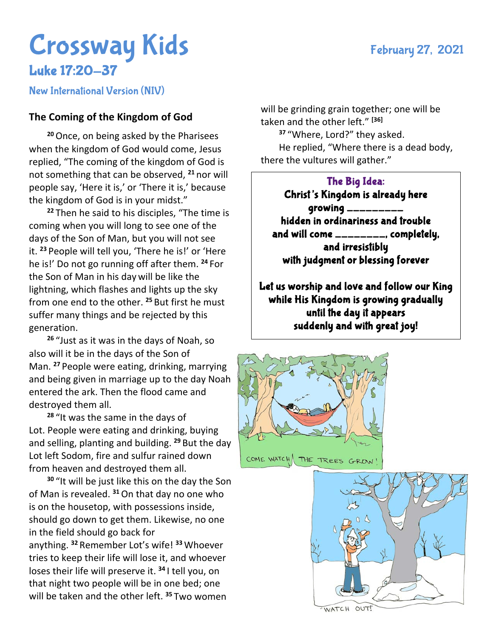## Crossway Kids February 27, 2021 Luke 17:20-37

New International Version (NIV)

## **The Coming of the Kingdom of God**

**<sup>20</sup>**Once, on being asked by the Pharisees when the kingdom of God would come, Jesus replied, "The coming of the kingdom of God is not something that can be observed, **<sup>21</sup>** nor will people say, 'Here it is,' or 'There it is,' because the kingdom of God is in your midst."

**<sup>22</sup>** Then he said to his disciples, "The time is coming when you will long to see one of the days of the Son of Man, but you will not see it. **<sup>23</sup>** People will tell you, 'There he is!' or 'Here he is!' Do not go running off after them. **<sup>24</sup>** For the Son of Man in his day will be like the lightning, which flashes and lights up the sky from one end to the other. **<sup>25</sup>** But first he must suffer many things and be rejected by this generation.

**<sup>26</sup>** "Just as it was in the days of Noah, so also will it be in the days of the Son of Man. **<sup>27</sup>** People were eating, drinking, marrying and being given in marriage up to the day Noah entered the ark. Then the flood came and destroyed them all.

**<sup>28</sup>** "It was the same in the days of Lot. People were eating and drinking, buying and selling, planting and building. **<sup>29</sup>** But the day Lot left Sodom, fire and sulfur rained down from heaven and destroyed them all.

**<sup>30</sup>** "It will be just like this on the day the Son of Man is revealed. **<sup>31</sup>**On that day no one who is on the housetop, with possessions inside, should go down to get them. Likewise, no one in the field should go back for

anything. **<sup>32</sup>** Remember Lot's wife! **<sup>33</sup>** Whoever tries to keep their life will lose it, and whoever loses their life will preserve it. **<sup>34</sup>** I tell you, on that night two people will be in one bed; one will be taken and the other left. **<sup>35</sup>** Two women

will be grinding grain together; one will be taken and the other left." **[36]**

**<sup>37</sup>** "Where, Lord?" they asked. He replied, "Where there is a dead body, there the vultures will gather."

## The Big Idea:

Christ's Kingdom is already here  $g$ rowing  $\frac{1}{2}$ hidden in ordinariness and trouble and will come \_\_\_\_\_\_\_\_, completely, and irresistibly with judgment or blessing forever

Let us worship and love and follow our King while His Kingdom is growing gradually until the day it appears suddenly and with great joy!

 $\overline{a}$